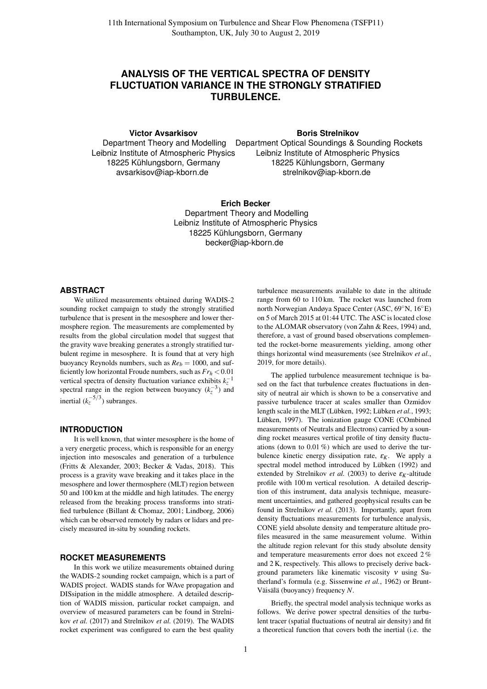# **ANALYSIS OF THE VERTICAL SPECTRA OF DENSITY FLUCTUATION VARIANCE IN THE STRONGLY STRATIFIED TURBULENCE.**

**Victor Avsarkisov**

**Boris Strelnikov**

Department Theory and Modelling Leibniz Institute of Atmospheric Physics 18225 Kühlungsborn, Germany avsarkisov@iap-kborn.de Department Optical Soundings & Sounding Rockets Leibniz Institute of Atmospheric Physics 18225 Kühlungsborn, Germany strelnikov@iap-kborn.de

> **Erich Becker** Department Theory and Modelling Leibniz Institute of Atmospheric Physics 18225 Kühlungsborn, Germany becker@iap-kborn.de

### **ABSTRACT**

We utilized measurements obtained during WADIS-2 sounding rocket campaign to study the strongly stratified turbulence that is present in the mesosphere and lower thermosphere region. The measurements are complemented by results from the global circulation model that suggest that the gravity wave breaking generates a strongly stratified turbulent regime in mesosphere. It is found that at very high buoyancy Reynolds numbers, such as  $Re_b = 1000$ , and sufficiently low horizontal Froude numbers, such as *Fr<sup>h</sup>* < 0.01 vertical spectra of density fluctuation variance exhibits  $k_z^{-1}$ spectral range in the region between buoyancy  $(k_z^{-3})$  and inertial  $(k_z^{-5/3})$  subranges.

### **INTRODUCTION**

It is well known, that winter mesosphere is the home of a very energetic process, which is responsible for an energy injection into mesoscales and generation of a turbulence (Fritts & Alexander, 2003; Becker & Vadas, 2018). This process is a gravity wave breaking and it takes place in the mesosphere and lower thermosphere (MLT) region between 50 and 100 km at the middle and high latitudes. The energy released from the breaking process transforms into stratified turbulence (Billant & Chomaz, 2001; Lindborg, 2006) which can be observed remotely by radars or lidars and precisely measured in-situ by sounding rockets.

### **ROCKET MEASUREMENTS**

In this work we utilize measurements obtained during the WADIS-2 sounding rocket campaign, which is a part of WADIS project. WADIS stands for WAve propagation and DISsipation in the middle atmosphere. A detailed description of WADIS mission, particular rocket campaign, and overview of measured parameters can be found in Strelnikov *et al.* (2017) and Strelnikov *et al.* (2019). The WADIS rocket experiment was configured to earn the best quality

turbulence measurements available to date in the altitude range from 60 to 110 km. The rocket was launched from north Norwegian Andøya Space Center (ASC, 69◦N, 16◦E) on 5 of March 2015 at 01:44 UTC. The ASC is located close to the ALOMAR observatory (von Zahn & Rees, 1994) and, therefore, a vast of ground based observations complemented the rocket-borne measurements yielding, among other things horizontal wind measurements (see Strelnikov *et al.*, 2019, for more details).

The applied turbulence measurement technique is based on the fact that turbulence creates fluctuations in density of neutral air which is shown to be a conservative and passive turbulence tracer at scales smaller than Ozmidov length scale in the MLT (Lübken, 1992; Lübken et al., 1993; Lübken, 1997). The ionization gauge CONE (COmbined measurements of Neutrals and Electrons) carried by a sounding rocket measures vertical profile of tiny density fluctuations (down to 0.01 %) which are used to derive the turbulence kinetic energy dissipation rate,  $\varepsilon_K$ . We apply a spectral model method introduced by Lübken (1992) and extended by Strelnikov *et al.* (2003) to derive  $\varepsilon_K$ -altitude profile with 100 m vertical resolution. A detailed description of this instrument, data analysis technique, measurement uncertainties, and gathered geophysical results can be found in Strelnikov *et al.* (2013). Importantly, apart from density fluctuations measurements for turbulence analysis, CONE yield absolute density and temperature altitude profiles measured in the same measurement volume. Within the altitude region relevant for this study absolute density and temperature measurements error does not exceed 2 % and 2 K, respectively. This allows to precisely derive background parameters like kinematic viscosity <sup>ν</sup> using Sutherland's formula (e.g. Sissenwine *et al.*, 1962) or Brunt-Väisälä (buoyancy) frequency *N*.

Briefly, the spectral model analysis technique works as follows. We derive power spectral densities of the turbulent tracer (spatial fluctuations of neutral air density) and fit a theoretical function that covers both the inertial (i.e. the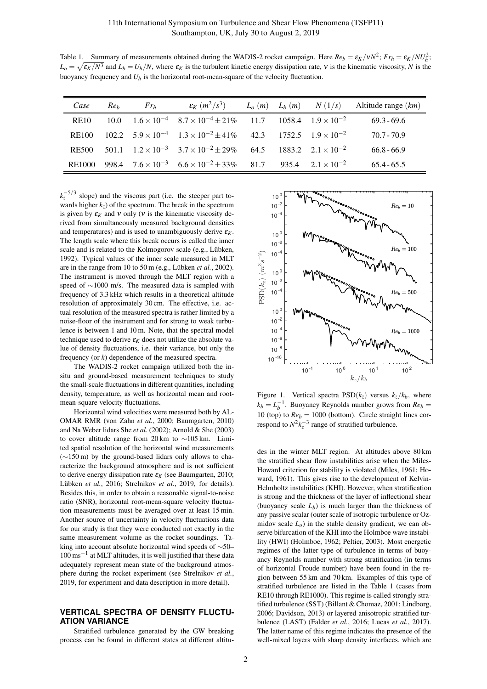Table 1. Summary of measurements obtained during the WADIS-2 rocket campaign. Here  $Re_b = \varepsilon_K / vN^2$ ;  $Fr_h = \varepsilon_K / N U_h^2$ ;  $L_o = \sqrt{\varepsilon_K/N^3}$  and  $L_b = U_h/N$ , where  $\varepsilon_K$  is the turbulent kinetic energy dissipation rate, v is the kinematic viscosity, *N* is the buoyancy frequency and *U<sup>h</sup>* is the horizontal root-mean-square of the velocity fluctuation.

| Case        | Re <sub>b</sub> | $Fr_h$ |                                                                                                 |  | $\varepsilon_K$ $(m^2/s^3)$ $L_o(m)$ $L_h(m)$ $N(1/s)$ Altitude range $(km)$ |
|-------------|-----------------|--------|-------------------------------------------------------------------------------------------------|--|------------------------------------------------------------------------------|
| <b>RE10</b> |                 |        | 10.0 $1.6 \times 10^{-4}$ $8.7 \times 10^{-4} \pm 21\%$ 11.7 1058.4 $1.9 \times 10^{-2}$        |  | $69.3 - 69.6$                                                                |
| RE100       |                 |        | 102.2 $5.9 \times 10^{-4}$ $1.3 \times 10^{-2} \pm 41\%$ 42.3 $1752.5$ $1.9 \times 10^{-2}$     |  | $70.7 - 70.9$                                                                |
|             |                 |        | RE500 501.1 $1.2 \times 10^{-3}$ $3.7 \times 10^{-2} \pm 29\%$ 64.5 1883.2 $2.1 \times 10^{-2}$ |  | $66.8 - 66.9$                                                                |
|             |                 |        | RE1000 998.4 $7.6 \times 10^{-3}$ $6.6 \times 10^{-2} \pm 33\%$ 81.7 935.4 $2.1 \times 10^{-2}$ |  | $65.4 - 65.5$                                                                |

 $k_z^{-5/3}$  slope) and the viscous part (i.e. the steeper part towards higher  $k_z$ ) of the spectrum. The break in the spectrum is given by  $\varepsilon_K$  and v only (v is the kinematic viscosity derived from simultaneously measured background densities and temperatures) and is used to unambiguously derive  $\varepsilon_K$ . The length scale where this break occurs is called the inner scale and is related to the Kolmogorov scale (e.g., Lübken, 1992). Typical values of the inner scale measured in MLT are in the range from 10 to 50 m (e.g., Lübken *et al.*, 2002). The instrument is moved through the MLT region with a speed of ∼1000 m/s. The measured data is sampled with frequency of 3.3 kHz which results in a theoretical altitude resolution of approximately 30 cm. The effective, i.e. actual resolution of the measured spectra is rather limited by a noise-floor of the instrument and for strong to weak turbulence is between 1 and 10 m. Note, that the spectral model technique used to derive  $\varepsilon_K$  does not utilize the absolute value of density fluctuations, i.e. their variance, but only the frequency (or *k*) dependence of the measured spectra.

The WADIS-2 rocket campaign utilized both the insitu and ground-based measurement techniques to study the small-scale fluctuations in different quantities, including density, temperature, as well as horizontal mean and rootmean-square velocity fluctuations.

Horizontal wind velocities were measured both by AL-OMAR RMR (von Zahn *et al.*, 2000; Baumgarten, 2010) and Na Weber lidars She *et al.* (2002); Arnold & She (2003) to cover altitude range from 20 km to ∼105 km. Limited spatial resolution of the horizontal wind measurements (∼150 m) by the ground-based lidars only allows to characterize the background atmosphere and is not sufficient to derive energy dissipation rate  $\varepsilon_K$  (see Baumgarten, 2010; Lübken *et al.*, 2016; Strelnikov *et al.*, 2019, for details). Besides this, in order to obtain a reasonable signal-to-noise ratio (SNR), horizontal root-mean-square velocity fluctuation measurements must be averaged over at least 15 min. Another source of uncertainty in velocity fluctuations data for our study is that they were conducted not exactly in the same measurement volume as the rocket soundings. Taking into account absolute horizontal wind speeds of ∼50– 100 ms−<sup>1</sup> at MLT altitudes, it is well justified that these data adequately represent mean state of the background atmosphere during the rocket experiment (see Strelnikov *et al.*, 2019, for experiment and data description in more detail).

## **VERTICAL SPECTRA OF DENSITY FLUCTU-ATION VARIANCE**

Stratified turbulence generated by the GW breaking process can be found in different states at different altitu-



Figure 1. Vertical spectra  $PSD(k_z)$  versus  $k_z/k_b$ , where  $k_b = L_b^{-1}$ . Buoyancy Reynolds number grows from  $Re_b =$ 10 (top) to  $Re_b = 1000$  (bottom). Circle straight lines correspond to  $N^2 k_z^{-3}$  range of stratified turbulence.

des in the winter MLT region. At altitudes above 80 km the stratified shear flow instabilities arise when the Miles-Howard criterion for stability is violated (Miles, 1961; Howard, 1961). This gives rise to the development of Kelvin-Helmholtz instabilities (KHI). However, when stratification is strong and the thickness of the layer of inflectional shear (buoyancy scale  $L_b$ ) is much larger than the thickness of any passive scalar (outer scale of isotropic turbulence or Ozmidov scale  $L<sub>o</sub>$ ) in the stable density gradient, we can observe bifurcation of the KHI into the Holmboe wave instability (HWI) (Holmboe, 1962; Peltier, 2003). Most energetic regimes of the latter type of turbulence in terms of buoyancy Reynolds number with strong stratification (in terms of horizontal Froude number) have been found in the region between 55 km and 70 km. Examples of this type of stratified turbulence are listed in the Table 1 (cases from RE10 through RE1000). This regime is called strongly stratified turbulence (SST) (Billant & Chomaz, 2001; Lindborg, 2006; Davidson, 2013) or layered anisotropic stratified turbulence (LAST) (Falder *et al.*, 2016; Lucas *et al.*, 2017). The latter name of this regime indicates the presence of the well-mixed layers with sharp density interfaces, which are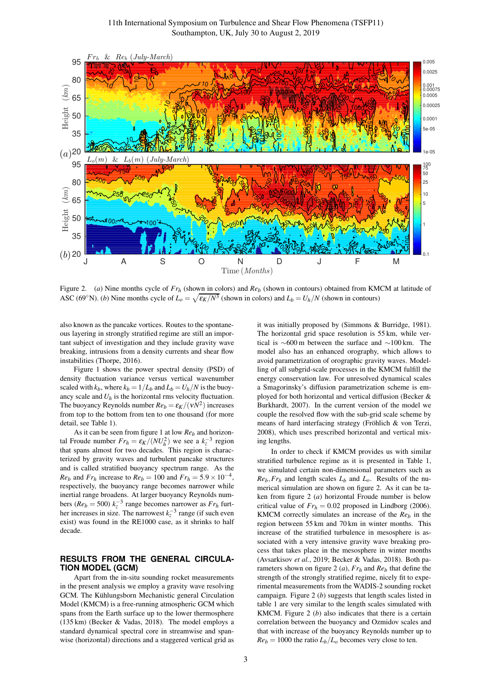

Figure 2. (*a*) Nine months cycle of *Fr<sup>h</sup>* (shown in colors) and *Re<sup>b</sup>* (shown in contours) obtained from KMCM at latitude of ASC (69°N). (*b*) Nine months cycle of  $L_0 = \sqrt{\epsilon_K/N^3}$  (shown in colors) and  $L_b = U_h/N$  (shown in contours)

also known as the pancake vortices. Routes to the spontaneous layering in strongly stratified regime are still an important subject of investigation and they include gravity wave breaking, intrusions from a density currents and shear flow instabilities (Thorpe, 2016).

Figure 1 shows the power spectral density (PSD) of density fluctuation variance versus vertical wavenumber scaled with  $k_b$ , where  $k_b = 1/L_b$  and  $L_b = U_h/N$  is the buoyancy scale and  $U_h$  is the horizontal rms velocity fluctuation. The buoyancy Reynolds number  $Re_b = \varepsilon_K/(\nu N^2)$  increases from top to the bottom from ten to one thousand (for more detail, see Table 1).

As it can be seen from figure 1 at low *Re<sup>b</sup>* and horizontal Froude number  $Fr_h = \varepsilon_K / (NU_h^2)$  we see a  $k_z^{-3}$  region that spans almost for two decades. This region is characterized by gravity waves and turbulent pancake structures and is called stratified buoyancy spectrum range. As the *Re*<sub>*b*</sub> and *Fr*<sub>*h*</sub> increase to *Re*<sub>*b*</sub> = 100 and *Fr*<sub>*h*</sub> = 5.9 × 10<sup>-4</sup>, respectively, the buoyancy range becomes narrower while inertial range broadens. At larger buoyancy Reynolds numbers ( $Re_b = 500$ )  $k_z^{-3}$  range becomes narrower as  $Fr_h$  further increases in size. The narrowest  $k_z^{-3}$  range (if such even exist) was found in the RE1000 case, as it shrinks to half decade.

## **RESULTS FROM THE GENERAL CIRCULA-TION MODEL (GCM)**

Apart from the in-situ sounding rocket measurements in the present analysis we employ a gravity wave resolving GCM. The Kühlungsborn Mechanistic general Circulation Model (KMCM) is a free-running atmospheric GCM which spans from the Earth surface up to the lower thermosphere (135 km) (Becker & Vadas, 2018). The model employs a standard dynamical spectral core in streamwise and spanwise (horizontal) directions and a staggered vertical grid as

it was initially proposed by (Simmons & Burridge, 1981). The horizontal grid space resolution is 55 km, while vertical is ∼600 m between the surface and ∼100 km. The model also has an enhanced orography, which allows to avoid parametrization of orographic gravity waves. Modelling of all subgrid-scale processes in the KMCM fulfill the energy conservation law. For unresolved dynamical scales a Smagorinsky's diffusion parametrization scheme is employed for both horizontal and vertical diffusion (Becker & Burkhardt, 2007). In the current version of the model we couple the resolved flow with the sub-grid scale scheme by means of hard interfacing strategy (Fröhlich & von Terzi, 2008), which uses prescribed horizontal and vertical mixing lengths.

In order to check if KMCM provides us with similar stratified turbulence regime as it is presented in Table 1, we simulated certain non-dimensional parameters such as  $Re_b$ ,  $Fr_h$  and length scales  $L_b$  and  $L_o$ . Results of the numerical simulation are shown on figure 2. As it can be taken from figure 2 (*a*) horizontal Froude number is below critical value of  $Fr_h = 0.02$  proposed in Lindborg (2006). KMCM correctly simulates an increase of the *Re<sup>b</sup>* in the region between 55 km and 70 km in winter months. This increase of the stratified turbulence in mesosphere is associated with a very intensive gravity wave breaking process that takes place in the mesosphere in winter months (Avsarkisov *et al.*, 2019; Becker & Vadas, 2018). Both parameters shown on figure 2 (*a*), *Fr<sup>h</sup>* and *Re<sup>b</sup>* that define the strength of the strongly stratified regime, nicely fit to experimental measurements from the WADIS-2 sounding rocket campaign. Figure 2 (*b*) suggests that length scales listed in table 1 are very similar to the length scales simulated with KMCM. Figure 2 (*b*) also indicates that there is a certain correlation between the buoyancy and Ozmidov scales and that with increase of the buoyancy Reynolds number up to  $Re_b = 1000$  the ratio  $L_b/L_o$  becomes very close to ten.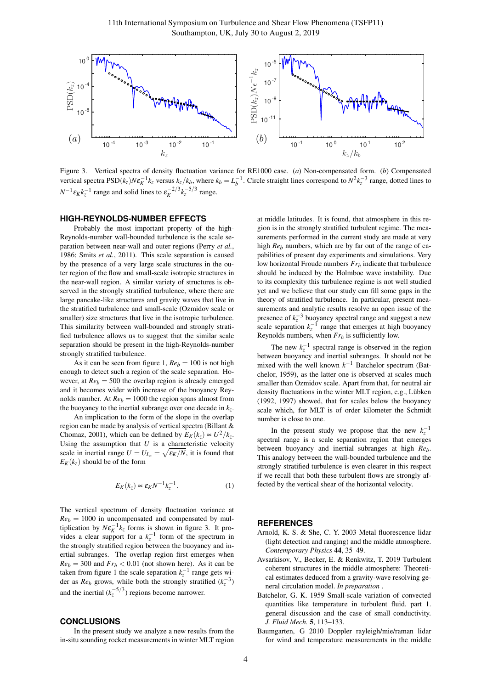

Figure 3. Vertical spectra of density fluctuation variance for RE1000 case. (*a*) Non-compensated form. (*b*) Compensated vertical spectra  $PSD(k_z)N\epsilon_K^{-1}k_z$  versus  $k_z/k_b$ , where  $k_b = L_b^{-1}$ . Circle straight lines correspond to  $N^2k_z^{-3}$  range, dotted lines to  $N^{-1} \varepsilon_K k_z^{-1}$  range and solid lines to  $\varepsilon_K^{-2/3} k_z^{-5/3}$  range.

### **HIGH-REYNOLDS-NUMBER EFFECTS**

Probably the most important property of the high-Reynolds-number wall-bounded turbulence is the scale separation between near-wall and outer regions (Perry *et al.*, 1986; Smits *et al.*, 2011). This scale separation is caused by the presence of a very large scale structures in the outer region of the flow and small-scale isotropic structures in the near-wall region. A similar variety of structures is observed in the strongly stratified turbulence, where there are large pancake-like structures and gravity waves that live in the stratified turbulence and small-scale (Ozmidov scale or smaller) size structures that live in the isotropic turbulence. This similarity between wall-bounded and strongly stratified turbulence allows us to suggest that the similar scale separation should be present in the high-Reynolds-number strongly stratified turbulence.

As it can be seen from figure 1,  $Re_b = 100$  is not high enough to detect such a region of the scale separation. However, at  $Re_b = 500$  the overlap region is already emerged and it becomes wider with increase of the buoyancy Reynolds number. At  $Re_b = 1000$  the region spans almost from the buoyancy to the inertial subrange over one decade in  $k_z$ .

An implication to the form of the slope in the overlap region can be made by analysis of vertical spectra (Billant & Chomaz, 2001), which can be defined by  $E_K(k_z) \propto U^2/k_z$ . Using the assumption that  $U$  is a characteristic velocity scale in inertial range  $U = U_{L_o} = \sqrt{\varepsilon_K/N}$ , it is found that  $E_K(k_z)$  should be of the form

$$
E_K(k_z) \propto \varepsilon_K N^{-1} k_z^{-1}.
$$
 (1)

The vertical spectrum of density fluctuation variance at  $Re_b = 1000$  in uncompensated and compensated by multiplication by  $N \varepsilon_K^{-1} k_z$  forms is shown in figure 3. It provides a clear support for a  $k_z^{-1}$  form of the spectrum in the strongly stratified region between the buoyancy and inertial subranges. The overlap region first emerges when  $Re_b = 300$  and  $Fr_h < 0.01$  (not shown here). As it can be taken from figure 1 the scale separation  $k_z^{-1}$  range gets wider as *Re<sub>b</sub>* grows, while both the strongly stratified  $(k_z^{-3})$ and the inertial  $(k_z^{-5/3})$  regions become narrower.

### **CONCLUSIONS**

In the present study we analyze a new results from the in-situ sounding rocket measurements in winter MLT region

at middle latitudes. It is found, that atmosphere in this region is in the strongly stratified turbulent regime. The measurements performed in the current study are made at very high *Re<sub>b</sub>* numbers, which are by far out of the range of capabilities of present day experiments and simulations. Very low horizontal Froude numbers *Fr<sup>h</sup>* indicate that turbulence should be induced by the Holmboe wave instability. Due to its complexity this turbulence regime is not well studied yet and we believe that our study can fill some gaps in the theory of stratified turbulence. In particular, present measurements and analytic results resolve an open issue of the presence of  $k_z^{-3}$  buoyancy spectral range and suggest a new scale separation  $k_z^{-1}$  range that emerges at high buoyancy Reynolds numbers, when  $Fr_h$  is sufficiently low.

The new  $k_z^{-1}$  spectral range is observed in the region between buoyancy and inertial subranges. It should not be mixed with the well known  $k^{-1}$  Batchelor spectrum (Batchelor, 1959), as the latter one is observed at scales much smaller than Ozmidov scale. Apart from that, for neutral air density fluctuations in the winter MLT region, e.g., Lübken (1992, 1997) showed, that for scales below the buoyancy scale which, for MLT is of order kilometer the Schmidt number is close to one.

In the present study we propose that the new  $k_z^{-1}$ spectral range is a scale separation region that emerges between buoyancy and inertial subranges at high *Reb*. This analogy between the wall-bounded turbulence and the strongly stratified turbulence is even clearer in this respect if we recall that both these turbulent flows are strongly affected by the vertical shear of the horizontal velocity.

#### **REFERENCES**

- Arnold, K. S. & She, C. Y. 2003 Metal fluorescence lidar (light detection and ranging) and the middle atmosphere. *Contemporary Physics* 44, 35–49.
- Avsarkisov, V., Becker, E. & Renkwitz, T. 2019 Turbulent coherent structures in the middle atmosphere: Theoretical estimates deduced from a gravity-wave resolving general circulation model. *In preparation* .
- Batchelor, G. K. 1959 Small-scale variation of convected quantities like temperature in turbulent fluid. part 1. general discussion and the case of small conductivity. *J. Fluid Mech.* 5, 113–133.
- Baumgarten, G 2010 Doppler rayleigh/mie/raman lidar for wind and temperature measurements in the middle